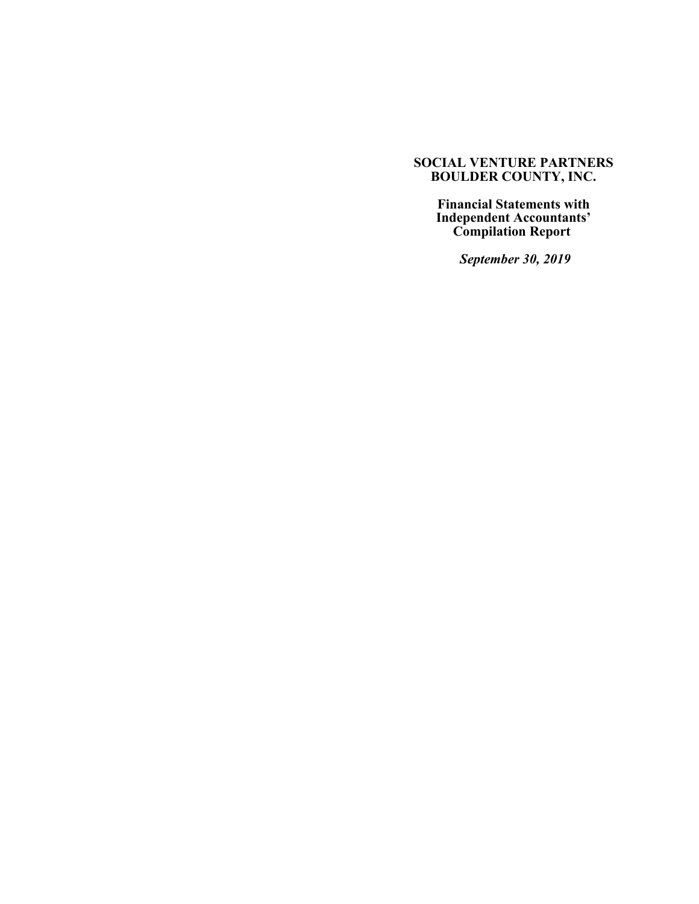**Financial Statements with Independent Accountants' Compilation Report** 

 *September 30, 2019*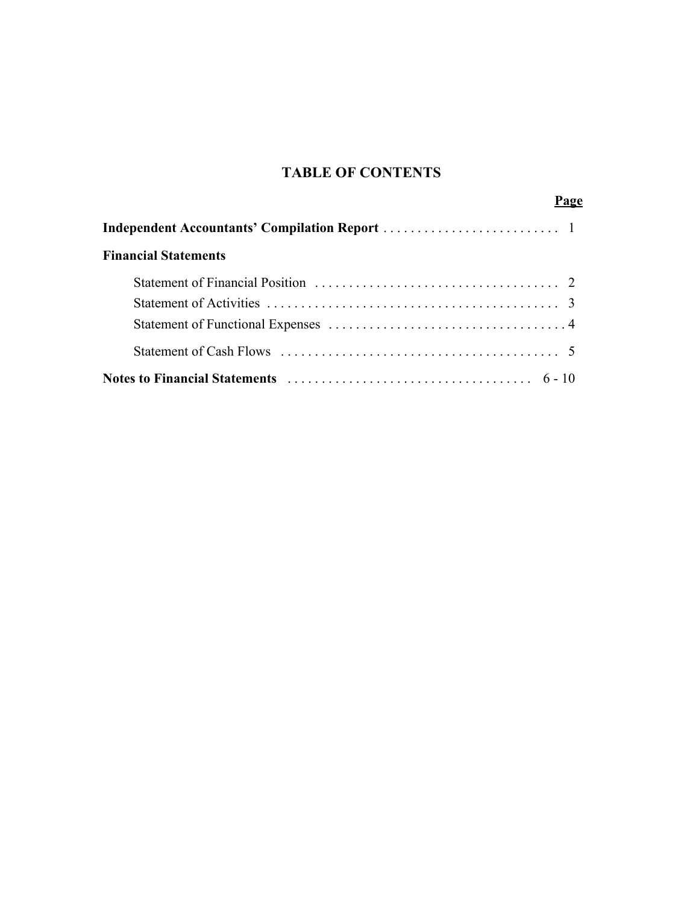# **TABLE OF CONTENTS**

| <b>Financial Statements</b> |  |
|-----------------------------|--|
|                             |  |
|                             |  |
|                             |  |
|                             |  |
|                             |  |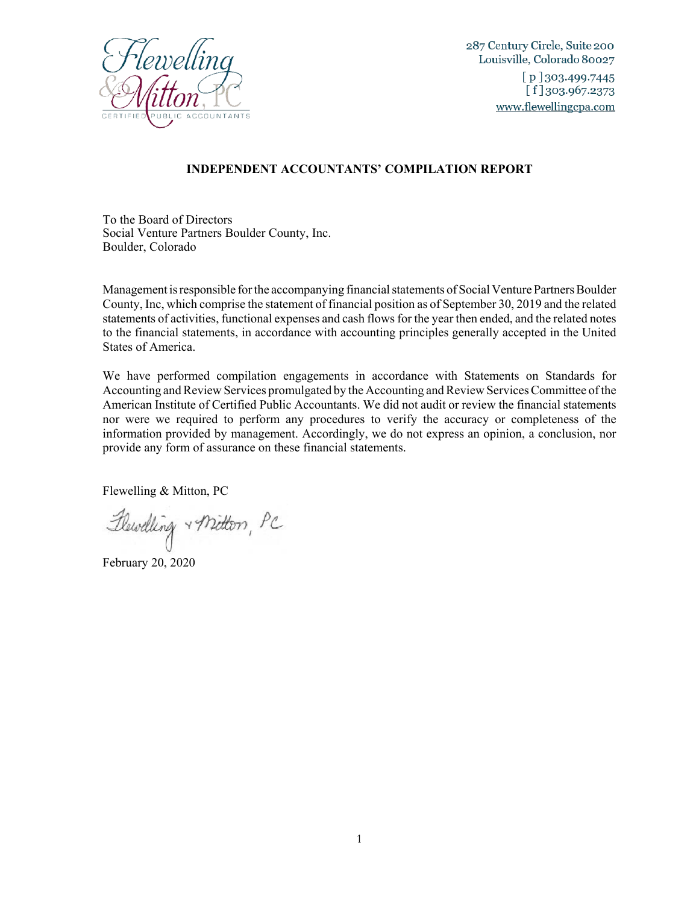

287 Century Circle, Suite 200 Louisville, Colorado 80027  $[p]$ 303.499.7445  $[f]$  303.967.2373 www.flewellingcpa.com

## **INDEPENDENT ACCOUNTANTS' COMPILATION REPORT**

To the Board of Directors Social Venture Partners Boulder County, Inc. Boulder, Colorado

Management is responsible for the accompanying financial statements of Social Venture Partners Boulder County, Inc, which comprise the statement of financial position as of September 30, 2019 and the related statements of activities, functional expenses and cash flows for the year then ended, and the related notes to the financial statements, in accordance with accounting principles generally accepted in the United States of America.

We have performed compilation engagements in accordance with Statements on Standards for Accounting and Review Services promulgated by the Accounting and Review Services Committee of the American Institute of Certified Public Accountants. We did not audit or review the financial statements nor were we required to perform any procedures to verify the accuracy or completeness of the information provided by management. Accordingly, we do not express an opinion, a conclusion, nor provide any form of assurance on these financial statements.

Flewelling & Mitton, PC

Flewelling + Mitton, PC

February 20, 2020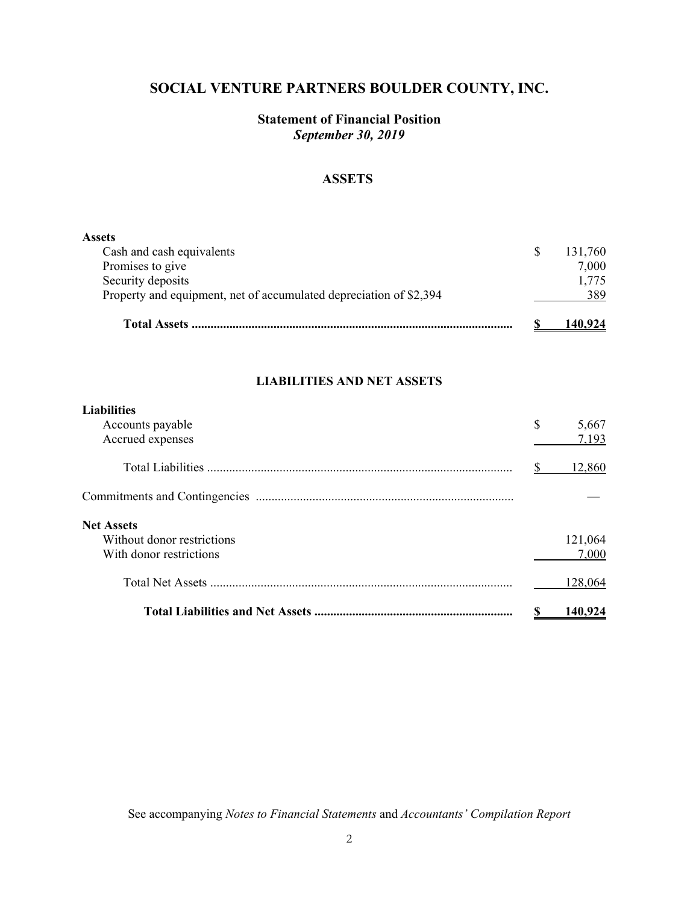# **Statement of Financial Position** *September 30, 2019*

# **ASSETS**

| <b>Assets</b>                                                      |         |
|--------------------------------------------------------------------|---------|
| Cash and cash equivalents                                          | 131,760 |
| Promises to give                                                   | 7,000   |
| Security deposits                                                  | 1,775   |
| Property and equipment, net of accumulated depreciation of \$2,394 | 389     |
| <b>Total Assets</b>                                                | 140.924 |

## **LIABILITIES AND NET ASSETS**

| <b>Liabilities</b><br>Accounts payable<br>Accrued expenses | \$<br>5,667<br>7,193 |
|------------------------------------------------------------|----------------------|
|                                                            | 12,860               |
|                                                            |                      |
| <b>Net Assets</b>                                          |                      |
| Without donor restrictions                                 | 121,064              |
| With donor restrictions                                    | 7.000                |
|                                                            | 128,064              |
|                                                            | 140.                 |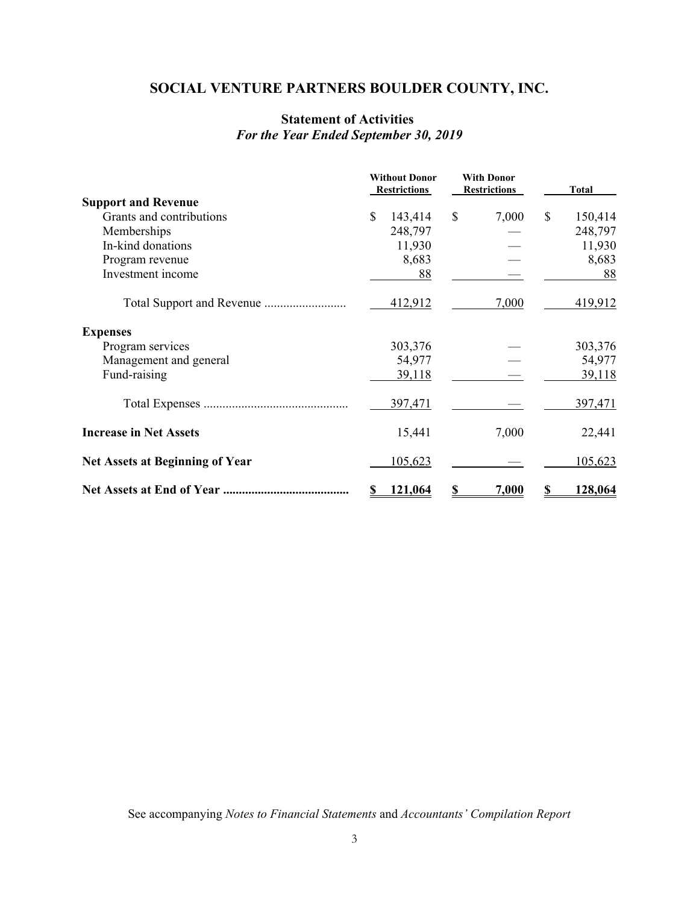# **Statement of Activities**  *For the Year Ended September 30, 2019*

|                                        | <b>Without Donor</b><br><b>Restrictions</b> | <b>With Donor</b><br><b>Restrictions</b> | <b>Total</b>           |
|----------------------------------------|---------------------------------------------|------------------------------------------|------------------------|
| <b>Support and Revenue</b>             |                                             |                                          |                        |
| Grants and contributions               | $\mathbb{S}$<br>143,414                     | \$<br>7,000                              | $\mathbf S$<br>150,414 |
| Memberships                            | 248,797                                     |                                          | 248,797                |
| In-kind donations                      | 11,930                                      |                                          | 11,930                 |
| Program revenue                        | 8,683                                       |                                          | 8,683                  |
| Investment income                      | 88                                          |                                          | 88                     |
|                                        | 412,912                                     | 7,000                                    | 419,912                |
| <b>Expenses</b>                        |                                             |                                          |                        |
| Program services                       | 303,376                                     |                                          | 303,376                |
| Management and general                 | 54,977                                      |                                          | 54,977                 |
| Fund-raising                           | <u>39,118</u>                               |                                          | <u>39,118</u>          |
|                                        | 397,471                                     |                                          | 397,471                |
| <b>Increase in Net Assets</b>          | 15,441                                      | 7,000                                    | 22,441                 |
| <b>Net Assets at Beginning of Year</b> | 105,623                                     |                                          | 105,623                |
|                                        | 121,064                                     | S<br>7,000                               | 128,064                |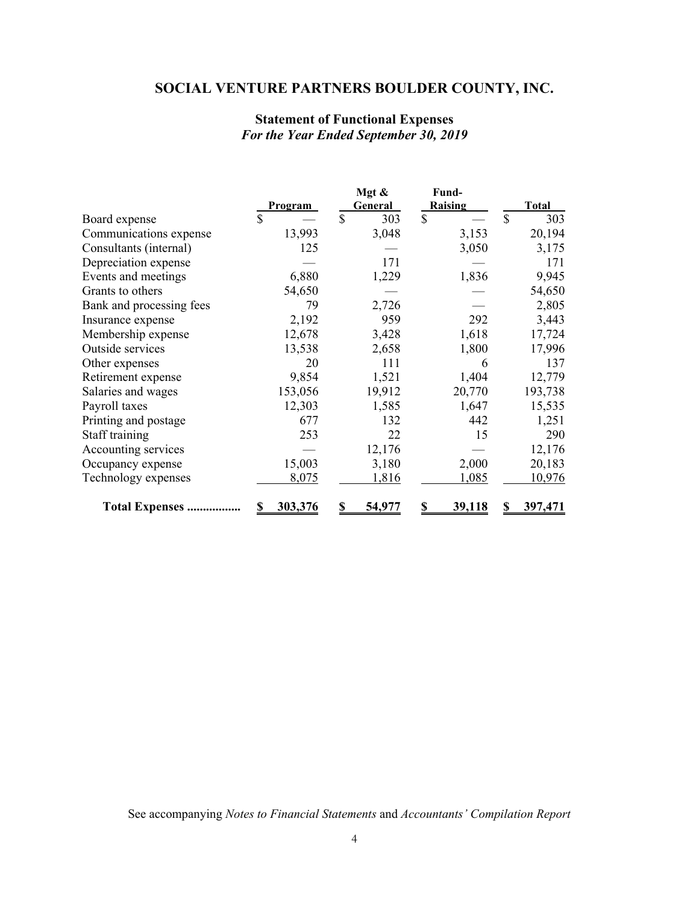# **Statement of Functional Expenses** *For the Year Ended September 30, 2019*

|                          |                | Mgt &         | Fund-         |                      |
|--------------------------|----------------|---------------|---------------|----------------------|
|                          | <b>Program</b> | General       | Raising       | <b>Total</b>         |
| Board expense            | \$             | \$<br>303     | $\mathbb{S}$  | $\mathcal{S}$<br>303 |
| Communications expense   | 13,993         | 3,048         | 3,153         | 20,194               |
| Consultants (internal)   | 125            |               | 3,050         | 3,175                |
| Depreciation expense     |                | 171           |               | 171                  |
| Events and meetings      | 6,880          | 1,229         | 1,836         | 9,945                |
| Grants to others         | 54,650         |               |               | 54,650               |
| Bank and processing fees | 79             | 2,726         |               | 2,805                |
| Insurance expense        | 2,192          | 959           | 292           | 3,443                |
| Membership expense       | 12,678         | 3,428         | 1,618         | 17,724               |
| Outside services         | 13,538         | 2,658         | 1,800         | 17,996               |
| Other expenses           | 20             | 111           | 6             | 137                  |
| Retirement expense       | 9,854          | 1,521         | 1,404         | 12,779               |
| Salaries and wages       | 153,056        | 19,912        | 20,770        | 193,738              |
| Payroll taxes            | 12,303         | 1,585         | 1,647         | 15,535               |
| Printing and postage     | 677            | 132           | 442           | 1,251                |
| Staff training           | 253            | 22            | 15            | 290                  |
| Accounting services      |                | 12,176        |               | 12,176               |
| Occupancy expense        | 15,003         | 3,180         | 2,000         | 20,183               |
| Technology expenses      | 8,075          | 1,816         | 1,085         | 10,976               |
| <b>Total Expenses</b>    | 303,376        | <u>54,977</u> | <u>39,118</u> | 397,471              |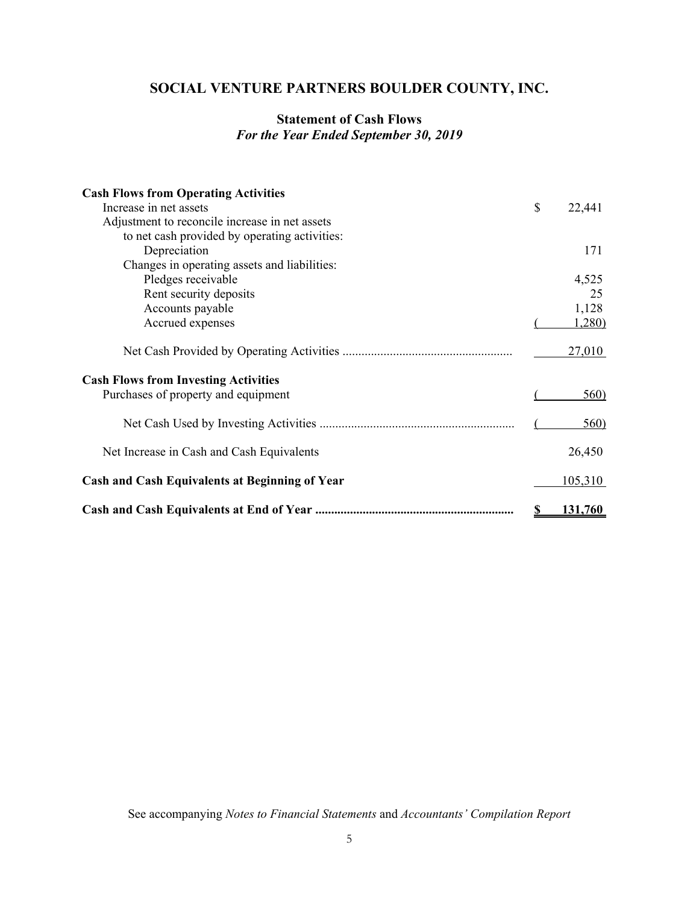# **Statement of Cash Flows** *For the Year Ended September 30, 2019*

| <b>Cash Flows from Operating Activities</b>           |    |         |
|-------------------------------------------------------|----|---------|
| Increase in net assets                                | \$ | 22,441  |
| Adjustment to reconcile increase in net assets        |    |         |
| to net cash provided by operating activities:         |    |         |
| Depreciation                                          |    | 171     |
| Changes in operating assets and liabilities:          |    |         |
| Pledges receivable                                    |    | 4,525   |
| Rent security deposits                                |    | 25      |
| Accounts payable                                      |    | 1,128   |
| Accrued expenses                                      |    | 1,280)  |
|                                                       |    | 27,010  |
| <b>Cash Flows from Investing Activities</b>           |    |         |
| Purchases of property and equipment                   |    | 560)    |
|                                                       |    | 560)    |
| Net Increase in Cash and Cash Equivalents             |    | 26,450  |
| <b>Cash and Cash Equivalents at Beginning of Year</b> |    | 105,310 |
|                                                       | S  | 131,760 |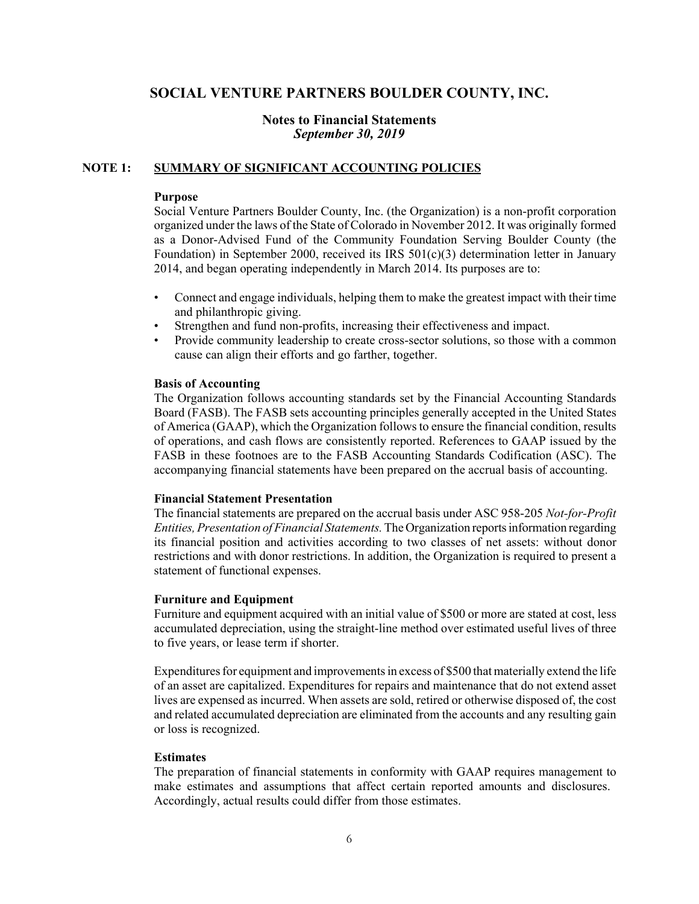## **Notes to Financial Statements** *September 30, 2019*

## **NOTE 1: SUMMARY OF SIGNIFICANT ACCOUNTING POLICIES**

#### **Purpose**

Social Venture Partners Boulder County, Inc. (the Organization) is a non-profit corporation organized under the laws of the State of Colorado in November 2012. It was originally formed as a Donor-Advised Fund of the Community Foundation Serving Boulder County (the Foundation) in September 2000, received its IRS  $501(c)(3)$  determination letter in January 2014, and began operating independently in March 2014. Its purposes are to:

- Connect and engage individuals, helping them to make the greatest impact with their time and philanthropic giving.
- Strengthen and fund non-profits, increasing their effectiveness and impact.
- Provide community leadership to create cross-sector solutions, so those with a common cause can align their efforts and go farther, together.

#### **Basis of Accounting**

The Organization follows accounting standards set by the Financial Accounting Standards Board (FASB). The FASB sets accounting principles generally accepted in the United States of America (GAAP), which the Organization follows to ensure the financial condition, results of operations, and cash flows are consistently reported. References to GAAP issued by the FASB in these footnoes are to the FASB Accounting Standards Codification (ASC). The accompanying financial statements have been prepared on the accrual basis of accounting.

#### **Financial Statement Presentation**

The financial statements are prepared on the accrual basis under ASC 958-205 *Not-for-Profit Entities, Presentation of Financial Statements.* The Organization reports information regarding its financial position and activities according to two classes of net assets: without donor restrictions and with donor restrictions. In addition, the Organization is required to present a statement of functional expenses.

#### **Furniture and Equipment**

Furniture and equipment acquired with an initial value of \$500 or more are stated at cost, less accumulated depreciation, using the straight-line method over estimated useful lives of three to five years, or lease term if shorter.

Expenditures for equipment and improvements in excess of \$500 that materially extend the life of an asset are capitalized. Expenditures for repairs and maintenance that do not extend asset lives are expensed as incurred. When assets are sold, retired or otherwise disposed of, the cost and related accumulated depreciation are eliminated from the accounts and any resulting gain or loss is recognized.

#### **Estimates**

The preparation of financial statements in conformity with GAAP requires management to make estimates and assumptions that affect certain reported amounts and disclosures. Accordingly, actual results could differ from those estimates.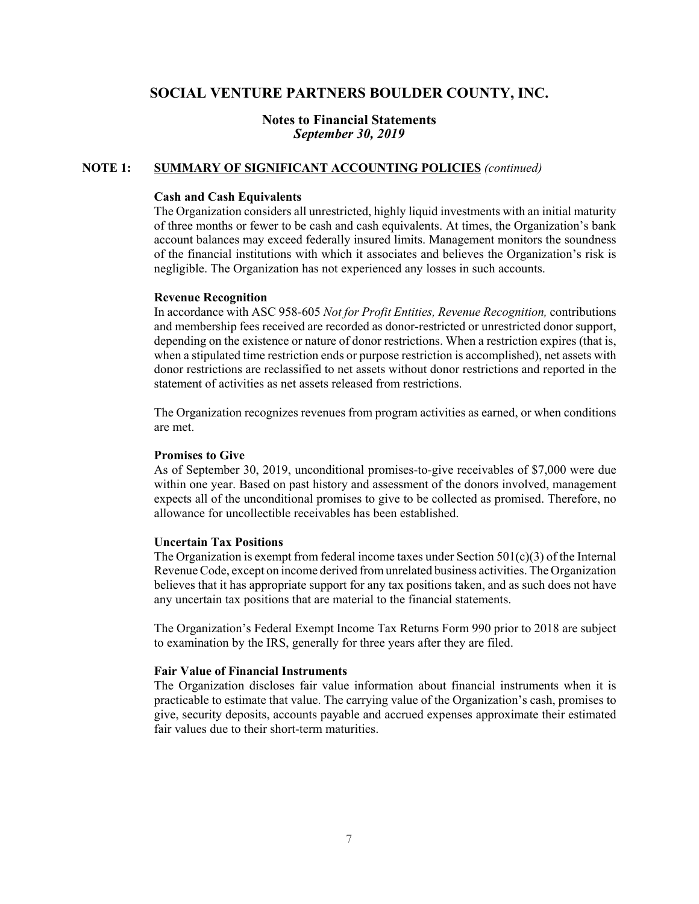## **Notes to Financial Statements** *September 30, 2019*

#### **NOTE 1: SUMMARY OF SIGNIFICANT ACCOUNTING POLICIES** *(continued)*

#### **Cash and Cash Equivalents**

The Organization considers all unrestricted, highly liquid investments with an initial maturity of three months or fewer to be cash and cash equivalents. At times, the Organization's bank account balances may exceed federally insured limits. Management monitors the soundness of the financial institutions with which it associates and believes the Organization's risk is negligible. The Organization has not experienced any losses in such accounts.

#### **Revenue Recognition**

In accordance with ASC 958-605 *Not for Profit Entities, Revenue Recognition,* contributions and membership fees received are recorded as donor-restricted or unrestricted donor support, depending on the existence or nature of donor restrictions. When a restriction expires (that is, when a stipulated time restriction ends or purpose restriction is accomplished), net assets with donor restrictions are reclassified to net assets without donor restrictions and reported in the statement of activities as net assets released from restrictions.

The Organization recognizes revenues from program activities as earned, or when conditions are met.

#### **Promises to Give**

As of September 30, 2019, unconditional promises-to-give receivables of \$7,000 were due within one year. Based on past history and assessment of the donors involved, management expects all of the unconditional promises to give to be collected as promised. Therefore, no allowance for uncollectible receivables has been established.

## **Uncertain Tax Positions**

The Organization is exempt from federal income taxes under Section  $501(c)(3)$  of the Internal Revenue Code, except on income derived from unrelated business activities. The Organization believes that it has appropriate support for any tax positions taken, and as such does not have any uncertain tax positions that are material to the financial statements.

The Organization's Federal Exempt Income Tax Returns Form 990 prior to 2018 are subject to examination by the IRS, generally for three years after they are filed.

#### **Fair Value of Financial Instruments**

The Organization discloses fair value information about financial instruments when it is practicable to estimate that value. The carrying value of the Organization's cash, promises to give, security deposits, accounts payable and accrued expenses approximate their estimated fair values due to their short-term maturities.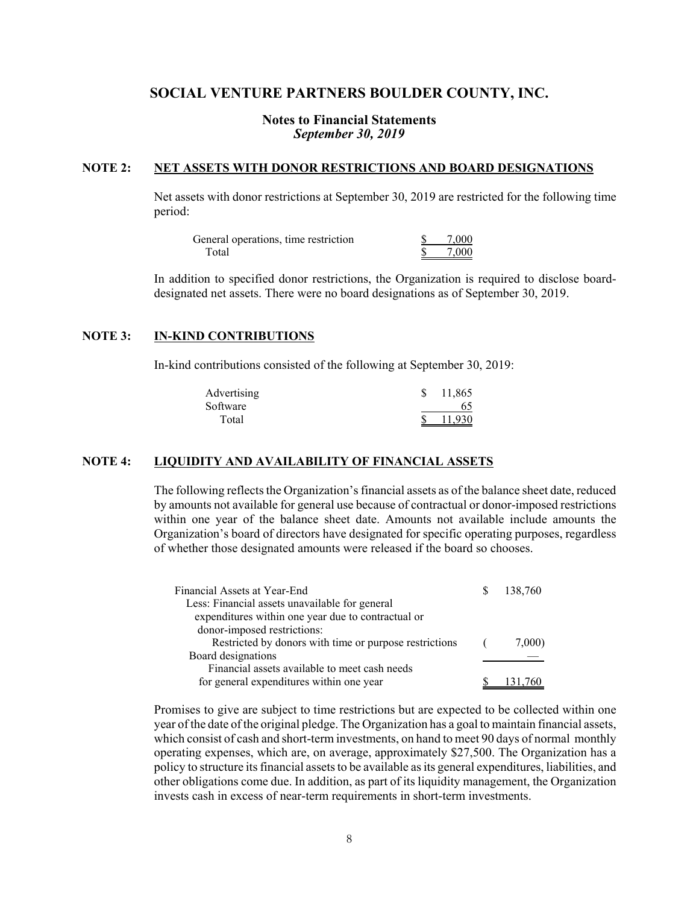## **Notes to Financial Statements** *September 30, 2019*

### **NOTE 2: NET ASSETS WITH DONOR RESTRICTIONS AND BOARD DESIGNATIONS**

Net assets with donor restrictions at September 30, 2019 are restricted for the following time period:

| General operations, time restriction | 7.000 |
|--------------------------------------|-------|
| Total                                | 7.000 |

In addition to specified donor restrictions, the Organization is required to disclose boarddesignated net assets. There were no board designations as of September 30, 2019.

#### **NOTE 3: IN-KIND CONTRIBUTIONS**

In-kind contributions consisted of the following at September 30, 2019:

| Advertising | 11,865 |
|-------------|--------|
| Software    |        |
| Total       | 11.930 |

### **NOTE 4: LIQUIDITY AND AVAILABILITY OF FINANCIAL ASSETS**

The following reflects the Organization's financial assets as of the balance sheet date, reduced by amounts not available for general use because of contractual or donor-imposed restrictions within one year of the balance sheet date. Amounts not available include amounts the Organization's board of directors have designated for specific operating purposes, regardless of whether those designated amounts were released if the board so chooses.

| Financial Assets at Year-End                           |            | 138,760 |
|--------------------------------------------------------|------------|---------|
| Less: Financial assets unavailable for general         |            |         |
| expenditures within one year due to contractual or     |            |         |
| donor-imposed restrictions:                            |            |         |
| Restricted by donors with time or purpose restrictions | $\sqrt{2}$ | 7,000)  |
| Board designations                                     |            |         |
| Financial assets available to meet cash needs          |            |         |
| for general expenditures within one year               |            |         |

Promises to give are subject to time restrictions but are expected to be collected within one year of the date of the original pledge. The Organization has a goal to maintain financial assets, which consist of cash and short-term investments, on hand to meet 90 days of normal monthly operating expenses, which are, on average, approximately \$27,500. The Organization has a policy to structure its financial assets to be available as its general expenditures, liabilities, and other obligations come due. In addition, as part of its liquidity management, the Organization invests cash in excess of near-term requirements in short-term investments.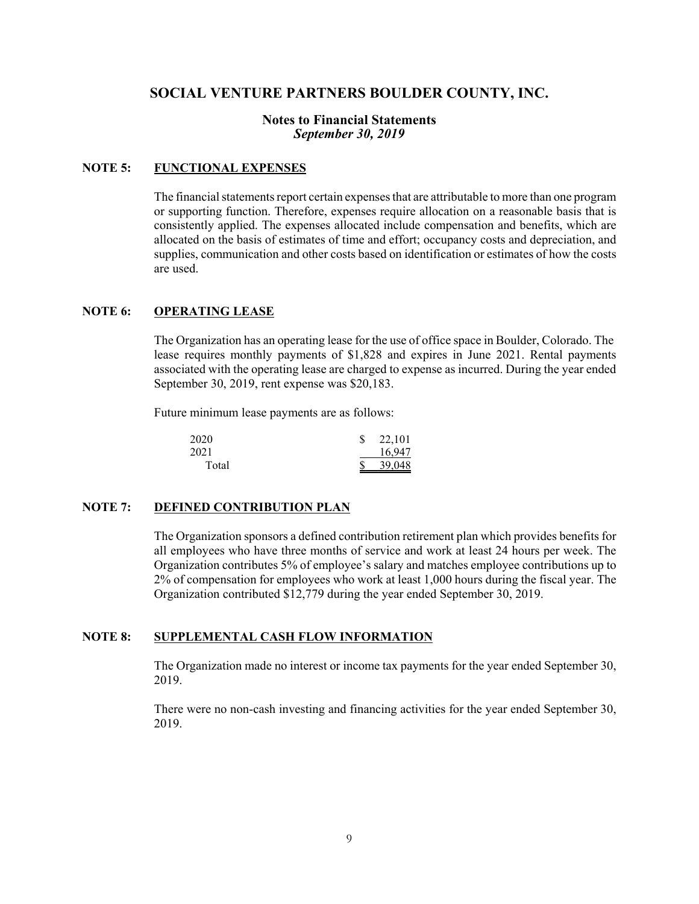## **Notes to Financial Statements** *September 30, 2019*

## **NOTE 5: FUNCTIONAL EXPENSES**

The financial statements report certain expenses that are attributable to more than one program or supporting function. Therefore, expenses require allocation on a reasonable basis that is consistently applied. The expenses allocated include compensation and benefits, which are allocated on the basis of estimates of time and effort; occupancy costs and depreciation, and supplies, communication and other costs based on identification or estimates of how the costs are used.

### **NOTE 6: OPERATING LEASE**

The Organization has an operating lease for the use of office space in Boulder, Colorado. The lease requires monthly payments of \$1,828 and expires in June 2021. Rental payments associated with the operating lease are charged to expense as incurred. During the year ended September 30, 2019, rent expense was \$20,183.

Future minimum lease payments are as follows:

| 2020  | 22,101 |
|-------|--------|
| 2021  | 16.947 |
| Total | 39,048 |

## **NOTE 7: DEFINED CONTRIBUTION PLAN**

The Organization sponsors a defined contribution retirement plan which provides benefits for all employees who have three months of service and work at least 24 hours per week. The Organization contributes 5% of employee's salary and matches employee contributions up to 2% of compensation for employees who work at least 1,000 hours during the fiscal year. The Organization contributed \$12,779 during the year ended September 30, 2019.

#### **NOTE 8: SUPPLEMENTAL CASH FLOW INFORMATION**

The Organization made no interest or income tax payments for the year ended September 30, 2019.

There were no non-cash investing and financing activities for the year ended September 30, 2019.